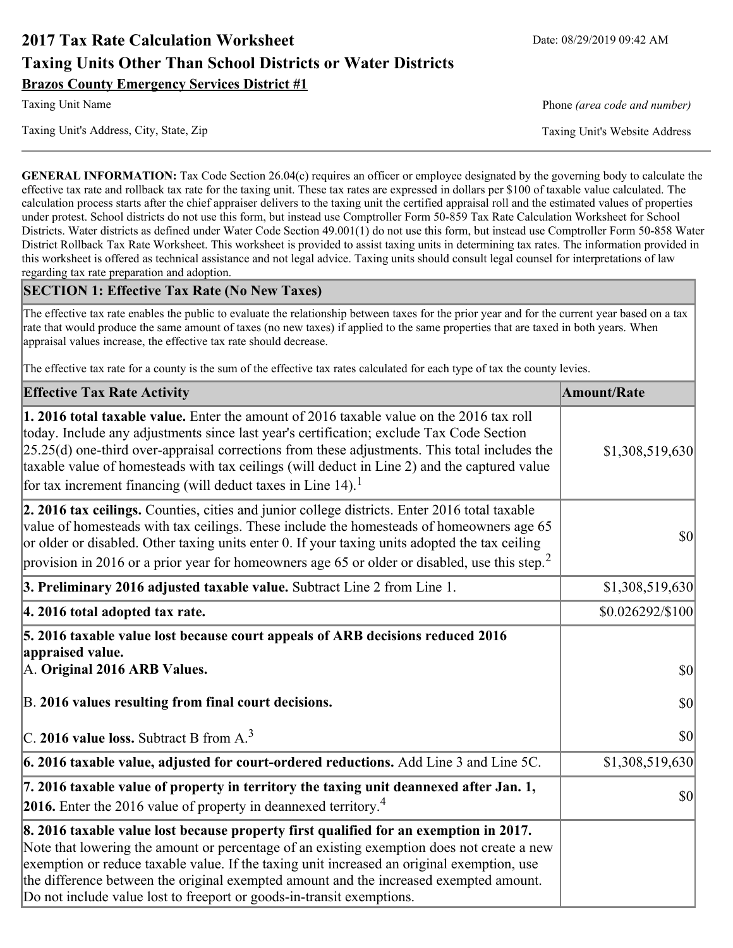# **2017 Tax Rate Calculation Worksheet** Date: 08/29/2019 09:42 AM **Taxing Units Other Than School Districts or Water Districts Brazos County Emergency Services District #1**

Taxing Unit's Address, City, State, Zip Taxing Unit's Website Address

Taxing Unit Name **Phone** *(area code and number)* Phone *(area code and number)* 

**GENERAL INFORMATION:** Tax Code Section 26.04(c) requires an officer or employee designated by the governing body to calculate the effective tax rate and rollback tax rate for the taxing unit. These tax rates are expressed in dollars per \$100 of taxable value calculated. The calculation process starts after the chief appraiser delivers to the taxing unit the certified appraisal roll and the estimated values of properties under protest. School districts do not use this form, but instead use Comptroller Form 50-859 Tax Rate Calculation Worksheet for School Districts. Water districts as defined under Water Code Section 49.001(1) do not use this form, but instead use Comptroller Form 50-858 Water District Rollback Tax Rate Worksheet. This worksheet is provided to assist taxing units in determining tax rates. The information provided in this worksheet is offered as technical assistance and not legal advice. Taxing units should consult legal counsel for interpretations of law regarding tax rate preparation and adoption.

### **SECTION 1: Effective Tax Rate (No New Taxes)**

The effective tax rate enables the public to evaluate the relationship between taxes for the prior year and for the current year based on a tax rate that would produce the same amount of taxes (no new taxes) if applied to the same properties that are taxed in both years. When appraisal values increase, the effective tax rate should decrease.

The effective tax rate for a county is the sum of the effective tax rates calculated for each type of tax the county levies.

| <b>Effective Tax Rate Activity</b>                                                                                                                                                                                                                                                                                                                                                                                                                                             | <b>Amount/Rate</b> |
|--------------------------------------------------------------------------------------------------------------------------------------------------------------------------------------------------------------------------------------------------------------------------------------------------------------------------------------------------------------------------------------------------------------------------------------------------------------------------------|--------------------|
| <b>1. 2016 total taxable value.</b> Enter the amount of 2016 taxable value on the 2016 tax roll<br>today. Include any adjustments since last year's certification; exclude Tax Code Section<br>$[25.25(d)$ one-third over-appraisal corrections from these adjustments. This total includes the<br>taxable value of homesteads with tax ceilings (will deduct in Line 2) and the captured value<br>for tax increment financing (will deduct taxes in Line $14$ ). <sup>1</sup> | \$1,308,519,630    |
| 2. 2016 tax ceilings. Counties, cities and junior college districts. Enter 2016 total taxable<br>value of homesteads with tax ceilings. These include the homesteads of homeowners age 65<br>or older or disabled. Other taxing units enter 0. If your taxing units adopted the tax ceiling<br>provision in 2016 or a prior year for homeowners age 65 or older or disabled, use this step. <sup>2</sup>                                                                       | 30                 |
| 3. Preliminary 2016 adjusted taxable value. Subtract Line 2 from Line 1.                                                                                                                                                                                                                                                                                                                                                                                                       | \$1,308,519,630    |
| 4. 2016 total adopted tax rate.                                                                                                                                                                                                                                                                                                                                                                                                                                                | \$0.026292/\$100   |
| 5. 2016 taxable value lost because court appeals of ARB decisions reduced 2016<br>appraised value.<br>A. Original 2016 ARB Values.                                                                                                                                                                                                                                                                                                                                             | $ 10\rangle$       |
| B. 2016 values resulting from final court decisions.                                                                                                                                                                                                                                                                                                                                                                                                                           | \$0                |
| C. 2016 value loss. Subtract B from $A3$                                                                                                                                                                                                                                                                                                                                                                                                                                       | $ 10\rangle$       |
| 6. 2016 taxable value, adjusted for court-ordered reductions. Add Line 3 and Line 5C.                                                                                                                                                                                                                                                                                                                                                                                          | \$1,308,519,630    |
| 7. 2016 taxable value of property in territory the taxing unit deannexed after Jan. 1,<br><b>2016.</b> Enter the 2016 value of property in deannexed territory. <sup>4</sup>                                                                                                                                                                                                                                                                                                   | $ 10\rangle$       |
| 8. 2016 taxable value lost because property first qualified for an exemption in 2017.<br>Note that lowering the amount or percentage of an existing exemption does not create a new<br>exemption or reduce taxable value. If the taxing unit increased an original exemption, use<br>the difference between the original exempted amount and the increased exempted amount.<br>Do not include value lost to freeport or goods-in-transit exemptions.                           |                    |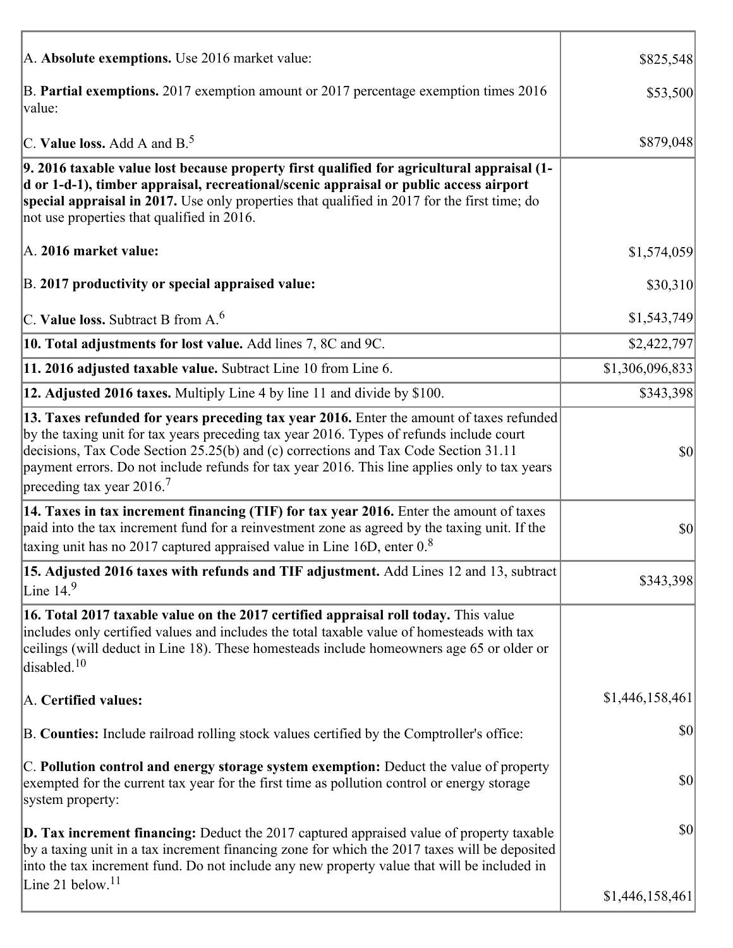| A. Absolute exemptions. Use 2016 market value:                                                                                                                                                                                                                                                                                                                                                                         | \$825,548       |
|------------------------------------------------------------------------------------------------------------------------------------------------------------------------------------------------------------------------------------------------------------------------------------------------------------------------------------------------------------------------------------------------------------------------|-----------------|
| B. Partial exemptions. 2017 exemption amount or 2017 percentage exemption times 2016<br>value:                                                                                                                                                                                                                                                                                                                         | \$53,500        |
| C. Value loss. Add A and $B^5$ .                                                                                                                                                                                                                                                                                                                                                                                       | \$879,048       |
| 9. 2016 taxable value lost because property first qualified for agricultural appraisal (1-<br>d or 1-d-1), timber appraisal, recreational/scenic appraisal or public access airport<br>special appraisal in 2017. Use only properties that qualified in 2017 for the first time; do<br>not use properties that qualified in 2016.                                                                                      |                 |
| A. 2016 market value:                                                                                                                                                                                                                                                                                                                                                                                                  | \$1,574,059     |
| B. 2017 productivity or special appraised value:                                                                                                                                                                                                                                                                                                                                                                       | \$30,310        |
| C. Value loss. Subtract B from $A6$                                                                                                                                                                                                                                                                                                                                                                                    | \$1,543,749     |
| 10. Total adjustments for lost value. Add lines 7, 8C and 9C.                                                                                                                                                                                                                                                                                                                                                          | \$2,422,797     |
| 11. 2016 adjusted taxable value. Subtract Line 10 from Line 6.                                                                                                                                                                                                                                                                                                                                                         | \$1,306,096,833 |
| 12. Adjusted 2016 taxes. Multiply Line 4 by line 11 and divide by \$100.                                                                                                                                                                                                                                                                                                                                               | \$343,398       |
| 13. Taxes refunded for years preceding tax year 2016. Enter the amount of taxes refunded<br>by the taxing unit for tax years preceding tax year 2016. Types of refunds include court<br>decisions, Tax Code Section 25.25(b) and (c) corrections and Tax Code Section 31.11<br>payment errors. Do not include refunds for tax year 2016. This line applies only to tax years<br>preceding tax year $2016$ <sup>7</sup> | \$0             |
| 14. Taxes in tax increment financing (TIF) for tax year 2016. Enter the amount of taxes<br>paid into the tax increment fund for a reinvestment zone as agreed by the taxing unit. If the<br>taxing unit has no 2017 captured appraised value in Line 16D, enter $0.8$                                                                                                                                                  | \$0             |
| 15. Adjusted 2016 taxes with refunds and TIF adjustment. Add Lines 12 and 13, subtract<br>Line $149$                                                                                                                                                                                                                                                                                                                   | \$343,398       |
| 16. Total 2017 taxable value on the 2017 certified appraisal roll today. This value<br>includes only certified values and includes the total taxable value of homesteads with tax<br>ceilings (will deduct in Line 18). These homesteads include homeowners age 65 or older or<br>disabled. $10$                                                                                                                       |                 |
| A. Certified values:                                                                                                                                                                                                                                                                                                                                                                                                   | \$1,446,158,461 |
| B. Counties: Include railroad rolling stock values certified by the Comptroller's office:                                                                                                                                                                                                                                                                                                                              | \$0             |
| C. Pollution control and energy storage system exemption: Deduct the value of property<br>exempted for the current tax year for the first time as pollution control or energy storage<br>system property:                                                                                                                                                                                                              | \$0             |
| <b>D. Tax increment financing:</b> Deduct the 2017 captured appraised value of property taxable<br>by a taxing unit in a tax increment financing zone for which the 2017 taxes will be deposited<br>into the tax increment fund. Do not include any new property value that will be included in                                                                                                                        | \$0             |
| Line 21 below. <sup>11</sup>                                                                                                                                                                                                                                                                                                                                                                                           | \$1,446,158,461 |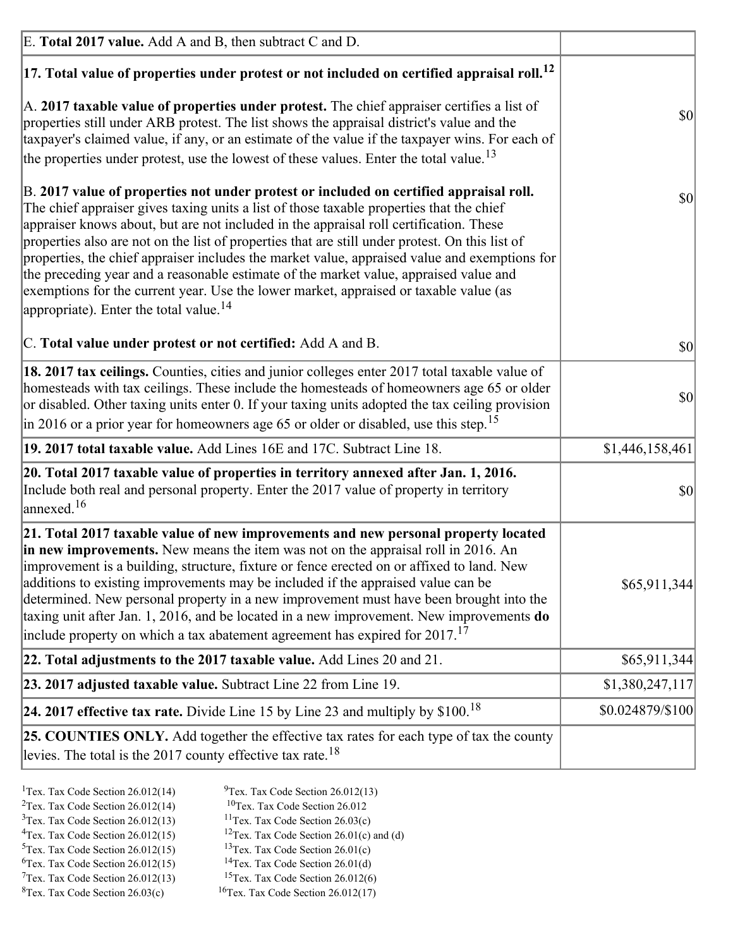| E. Total 2017 value. Add A and B, then subtract C and D.                                                                                                                                                                                                                                                                                                                                                                                                                                                                                                                                                                                                                                                                 |                  |
|--------------------------------------------------------------------------------------------------------------------------------------------------------------------------------------------------------------------------------------------------------------------------------------------------------------------------------------------------------------------------------------------------------------------------------------------------------------------------------------------------------------------------------------------------------------------------------------------------------------------------------------------------------------------------------------------------------------------------|------------------|
| $ 17$ . Total value of properties under protest or not included on certified appraisal roll. <sup>12</sup>                                                                                                                                                                                                                                                                                                                                                                                                                                                                                                                                                                                                               |                  |
| A. 2017 taxable value of properties under protest. The chief appraiser certifies a list of<br>properties still under ARB protest. The list shows the appraisal district's value and the<br>taxpayer's claimed value, if any, or an estimate of the value if the taxpayer wins. For each of<br>the properties under protest, use the lowest of these values. Enter the total value. <sup>13</sup>                                                                                                                                                                                                                                                                                                                         | \$0              |
| B. 2017 value of properties not under protest or included on certified appraisal roll.<br>The chief appraiser gives taxing units a list of those taxable properties that the chief<br>appraiser knows about, but are not included in the appraisal roll certification. These<br>properties also are not on the list of properties that are still under protest. On this list of<br>properties, the chief appraiser includes the market value, appraised value and exemptions for<br>the preceding year and a reasonable estimate of the market value, appraised value and<br>exemptions for the current year. Use the lower market, appraised or taxable value (as<br>appropriate). Enter the total value. <sup>14</sup> | <b>\$0</b>       |
| C. Total value under protest or not certified: Add A and B.                                                                                                                                                                                                                                                                                                                                                                                                                                                                                                                                                                                                                                                              | $ 10\rangle$     |
| 18. 2017 tax ceilings. Counties, cities and junior colleges enter 2017 total taxable value of<br>homesteads with tax ceilings. These include the homesteads of homeowners age 65 or older<br>or disabled. Other taxing units enter 0. If your taxing units adopted the tax ceiling provision<br>$\vert$ in 2016 or a prior year for homeowners age 65 or older or disabled, use this step. <sup>15</sup>                                                                                                                                                                                                                                                                                                                 | \$0              |
| 19. 2017 total taxable value. Add Lines 16E and 17C. Subtract Line 18.                                                                                                                                                                                                                                                                                                                                                                                                                                                                                                                                                                                                                                                   | \$1,446,158,461  |
| 20. Total 2017 taxable value of properties in territory annexed after Jan. 1, 2016.<br>Include both real and personal property. Enter the 2017 value of property in territory<br>$\text{lanned}$ . <sup>16</sup>                                                                                                                                                                                                                                                                                                                                                                                                                                                                                                         | $ 10\rangle$     |
| 21. Total 2017 taxable value of new improvements and new personal property located<br>in new improvements. New means the item was not on the appraisal roll in 2016. An<br>improvement is a building, structure, fixture or fence erected on or affixed to land. New<br>additions to existing improvements may be included if the appraised value can be<br>determined. New personal property in a new improvement must have been brought into the<br>taxing unit after Jan. 1, 2016, and be located in a new improvement. New improvements <b>do</b><br>include property on which a tax abatement agreement has expired for $2017$ . <sup>17</sup>                                                                      | \$65,911,344     |
| 22. Total adjustments to the 2017 taxable value. Add Lines 20 and 21.                                                                                                                                                                                                                                                                                                                                                                                                                                                                                                                                                                                                                                                    | \$65,911,344     |
| 23. 2017 adjusted taxable value. Subtract Line 22 from Line 19.                                                                                                                                                                                                                                                                                                                                                                                                                                                                                                                                                                                                                                                          | \$1,380,247,117  |
| 24. 2017 effective tax rate. Divide Line 15 by Line 23 and multiply by $$100$ . <sup>18</sup>                                                                                                                                                                                                                                                                                                                                                                                                                                                                                                                                                                                                                            | \$0.024879/\$100 |
| <b>25. COUNTIES ONLY.</b> Add together the effective tax rates for each type of tax the county<br>levies. The total is the 2017 county effective tax rate. <sup>18</sup>                                                                                                                                                                                                                                                                                                                                                                                                                                                                                                                                                 |                  |

- <sup>2</sup>Tex. Tax Code Section 26.012(14)
- <sup>1</sup>Tex. Tax Code Section 26.012(14) <sup>9</sup>Tex. Tax Code Section 26.012(13) <sup>9</sup>Tex. Tax Code Section 26.012
	-
- <sup>3</sup>Tex. Tax Code Section 26.012(13) <sup>11</sup>Tex. Tax Code Section 26.03(c) <sup>4</sup>Tex. Tax Code Section 26.01(c) and <sup>12</sup>Tex. Tax Code Section 26.01(c) and <sup>12</sup>Tex. Tax Code Section 26.01(c) and <sup>12</sup>Tex. Tax Code Section 26.01(c)
	- <sup>12</sup>Tex. Tax Code Section 26.01(c) and (d)
- 
- <sup>5</sup>Tex. Tax Code Section 26.012(15) <sup>13</sup>Tex. Tax Code Section 26.01(c) <sup>6</sup>Tex. Tax Code Section 26.01(d)
- <sup>6</sup>Tex. Tax Code Section 26.012(15) <sup>14</sup>Tex. Tax Code Section 26.01(d)<sup>7</sup>Tex. Tax Code Section 26.012(6)  $7$ Tex. Tax Code Section 26.012(13)
- 
- 
- ${}^{8}$ Tex. Tax Code Section 26.03(c)  ${}^{16}$ Tex. Tax Code Section 26.012(17)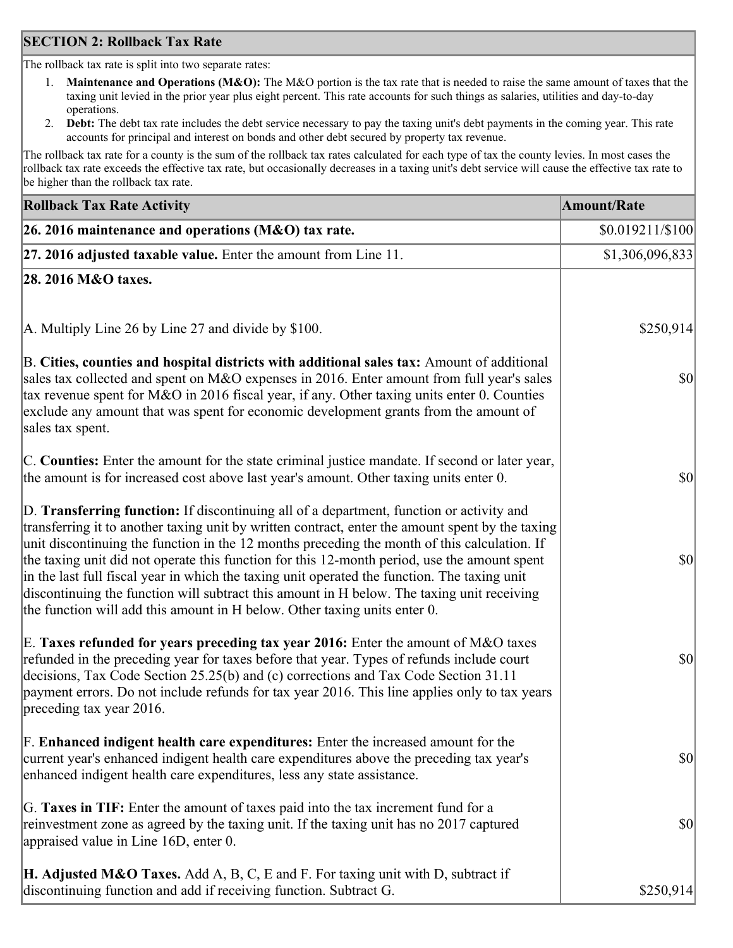### **SECTION 2: Rollback Tax Rate**

The rollback tax rate is split into two separate rates:

- 1. **Maintenance and Operations (M&O):** The M&O portion is the tax rate that is needed to raise the same amount of taxes that the taxing unit levied in the prior year plus eight percent. This rate accounts for such things as salaries, utilities and day-to-day operations.
- 2. **Debt:** The debt tax rate includes the debt service necessary to pay the taxing unit's debt payments in the coming year. This rate accounts for principal and interest on bonds and other debt secured by property tax revenue.

The rollback tax rate for a county is the sum of the rollback tax rates calculated for each type of tax the county levies. In most cases the rollback tax rate exceeds the effective tax rate, but occasionally decreases in a taxing unit's debt service will cause the effective tax rate to be higher than the rollback tax rate.

| <b>Rollback Tax Rate Activity</b>                                                                                                                                                                                                                                                                                                                                                                                                                                                                                                                                                                                                                                       | <b>Amount/Rate</b>     |
|-------------------------------------------------------------------------------------------------------------------------------------------------------------------------------------------------------------------------------------------------------------------------------------------------------------------------------------------------------------------------------------------------------------------------------------------------------------------------------------------------------------------------------------------------------------------------------------------------------------------------------------------------------------------------|------------------------|
| 26. 2016 maintenance and operations (M&O) tax rate.                                                                                                                                                                                                                                                                                                                                                                                                                                                                                                                                                                                                                     | $$0.019211 \times 100$ |
| $ 27.2016$ adjusted taxable value. Enter the amount from Line 11.                                                                                                                                                                                                                                                                                                                                                                                                                                                                                                                                                                                                       | \$1,306,096,833        |
| 28. 2016 M&O taxes.                                                                                                                                                                                                                                                                                                                                                                                                                                                                                                                                                                                                                                                     |                        |
|                                                                                                                                                                                                                                                                                                                                                                                                                                                                                                                                                                                                                                                                         |                        |
| A. Multiply Line 26 by Line 27 and divide by \$100.                                                                                                                                                                                                                                                                                                                                                                                                                                                                                                                                                                                                                     | \$250,914              |
| B. Cities, counties and hospital districts with additional sales tax: Amount of additional<br>sales tax collected and spent on M&O expenses in 2016. Enter amount from full year's sales<br>tax revenue spent for M&O in 2016 fiscal year, if any. Other taxing units enter 0. Counties<br>exclude any amount that was spent for economic development grants from the amount of<br>sales tax spent.                                                                                                                                                                                                                                                                     | 30                     |
| C. Counties: Enter the amount for the state criminal justice mandate. If second or later year,<br>the amount is for increased cost above last year's amount. Other taxing units enter 0.                                                                                                                                                                                                                                                                                                                                                                                                                                                                                | 30                     |
| D. Transferring function: If discontinuing all of a department, function or activity and<br>transferring it to another taxing unit by written contract, enter the amount spent by the taxing<br>unit discontinuing the function in the 12 months preceding the month of this calculation. If<br>the taxing unit did not operate this function for this 12-month period, use the amount spent<br>in the last full fiscal year in which the taxing unit operated the function. The taxing unit<br>discontinuing the function will subtract this amount in H below. The taxing unit receiving<br>the function will add this amount in H below. Other taxing units enter 0. | \$0                    |
| E. Taxes refunded for years preceding tax year 2016: Enter the amount of M&O taxes<br>refunded in the preceding year for taxes before that year. Types of refunds include court<br>decisions, Tax Code Section 25.25(b) and (c) corrections and Tax Code Section 31.11<br>payment errors. Do not include refunds for tax year 2016. This line applies only to tax years<br>preceding tax year 2016.                                                                                                                                                                                                                                                                     | \$0                    |
| F. Enhanced indigent health care expenditures: Enter the increased amount for the<br>current year's enhanced indigent health care expenditures above the preceding tax year's<br>enhanced indigent health care expenditures, less any state assistance.                                                                                                                                                                                                                                                                                                                                                                                                                 | $ 10\rangle$           |
| G. Taxes in TIF: Enter the amount of taxes paid into the tax increment fund for a<br>reinvestment zone as agreed by the taxing unit. If the taxing unit has no 2017 captured<br>appraised value in Line 16D, enter 0.                                                                                                                                                                                                                                                                                                                                                                                                                                                   | \$0                    |
| <b>H. Adjusted M&amp;O Taxes.</b> Add A, B, C, E and F. For taxing unit with D, subtract if<br>discontinuing function and add if receiving function. Subtract G.                                                                                                                                                                                                                                                                                                                                                                                                                                                                                                        | \$250,914              |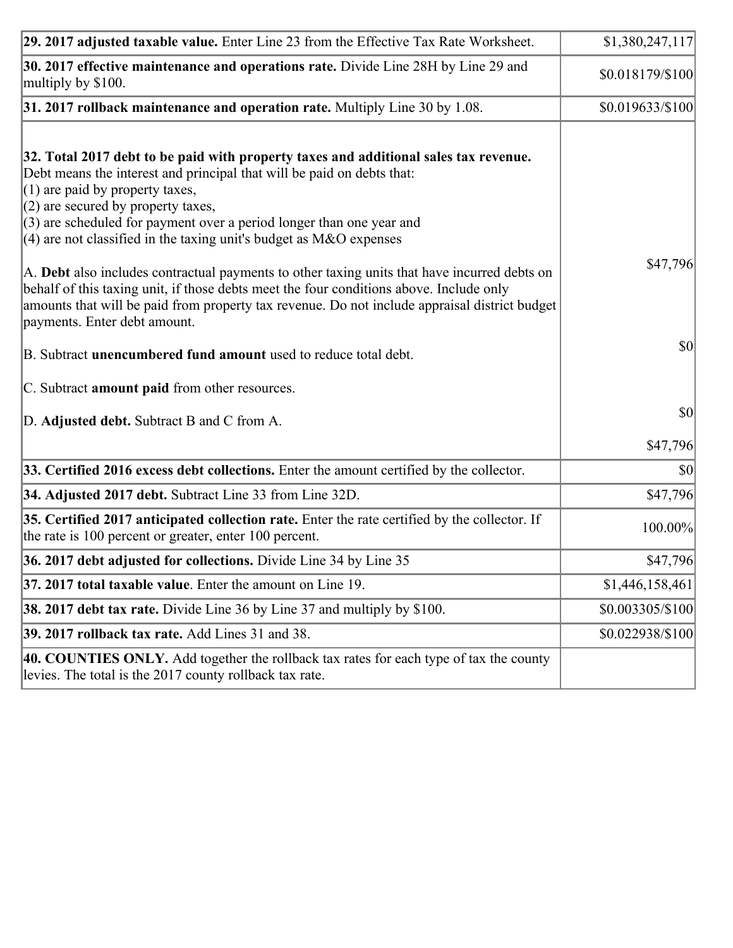| 29. 2017 adjusted taxable value. Enter Line 23 from the Effective Tax Rate Worksheet.                                                                                                                                                                                                                                                                                                                                                                                                         | \$1,380,247,117  |
|-----------------------------------------------------------------------------------------------------------------------------------------------------------------------------------------------------------------------------------------------------------------------------------------------------------------------------------------------------------------------------------------------------------------------------------------------------------------------------------------------|------------------|
| 30. 2017 effective maintenance and operations rate. Divide Line 28H by Line 29 and<br>multiply by \$100.                                                                                                                                                                                                                                                                                                                                                                                      | \$0.018179/\$100 |
| $31.2017$ rollback maintenance and operation rate. Multiply Line 30 by 1.08.                                                                                                                                                                                                                                                                                                                                                                                                                  | \$0.019633/\$100 |
| 32. Total 2017 debt to be paid with property taxes and additional sales tax revenue.<br>Debt means the interest and principal that will be paid on debts that:<br>$(1)$ are paid by property taxes,<br>$(2)$ are secured by property taxes,<br>$(3)$ are scheduled for payment over a period longer than one year and<br>(4) are not classified in the taxing unit's budget as $M&O$ expenses<br>A. Debt also includes contractual payments to other taxing units that have incurred debts on | \$47,796         |
| behalf of this taxing unit, if those debts meet the four conditions above. Include only<br>amounts that will be paid from property tax revenue. Do not include appraisal district budget<br>payments. Enter debt amount.                                                                                                                                                                                                                                                                      |                  |
| B. Subtract unencumbered fund amount used to reduce total debt.                                                                                                                                                                                                                                                                                                                                                                                                                               | \$0              |
| C. Subtract amount paid from other resources.                                                                                                                                                                                                                                                                                                                                                                                                                                                 |                  |
| D. Adjusted debt. Subtract B and C from A.                                                                                                                                                                                                                                                                                                                                                                                                                                                    | $ 10\rangle$     |
|                                                                                                                                                                                                                                                                                                                                                                                                                                                                                               | \$47,796         |
| 33. Certified 2016 excess debt collections. Enter the amount certified by the collector.                                                                                                                                                                                                                                                                                                                                                                                                      | $ 10\rangle$     |
| 34. Adjusted 2017 debt. Subtract Line 33 from Line 32D.                                                                                                                                                                                                                                                                                                                                                                                                                                       | \$47,796         |
| 35. Certified 2017 anticipated collection rate. Enter the rate certified by the collector. If<br>the rate is 100 percent or greater, enter 100 percent.                                                                                                                                                                                                                                                                                                                                       | 100.00%          |
| 36. 2017 debt adjusted for collections. Divide Line 34 by Line 35                                                                                                                                                                                                                                                                                                                                                                                                                             | \$47,796         |
| 37. 2017 total taxable value. Enter the amount on Line 19.                                                                                                                                                                                                                                                                                                                                                                                                                                    | \$1,446,158,461  |
| <b>38. 2017 debt tax rate.</b> Divide Line 36 by Line 37 and multiply by \$100.                                                                                                                                                                                                                                                                                                                                                                                                               | \$0.003305/\$100 |
| 39. 2017 rollback tax rate. Add Lines 31 and 38.                                                                                                                                                                                                                                                                                                                                                                                                                                              | \$0.022938/\$100 |
| 40. COUNTIES ONLY. Add together the rollback tax rates for each type of tax the county<br>levies. The total is the 2017 county rollback tax rate.                                                                                                                                                                                                                                                                                                                                             |                  |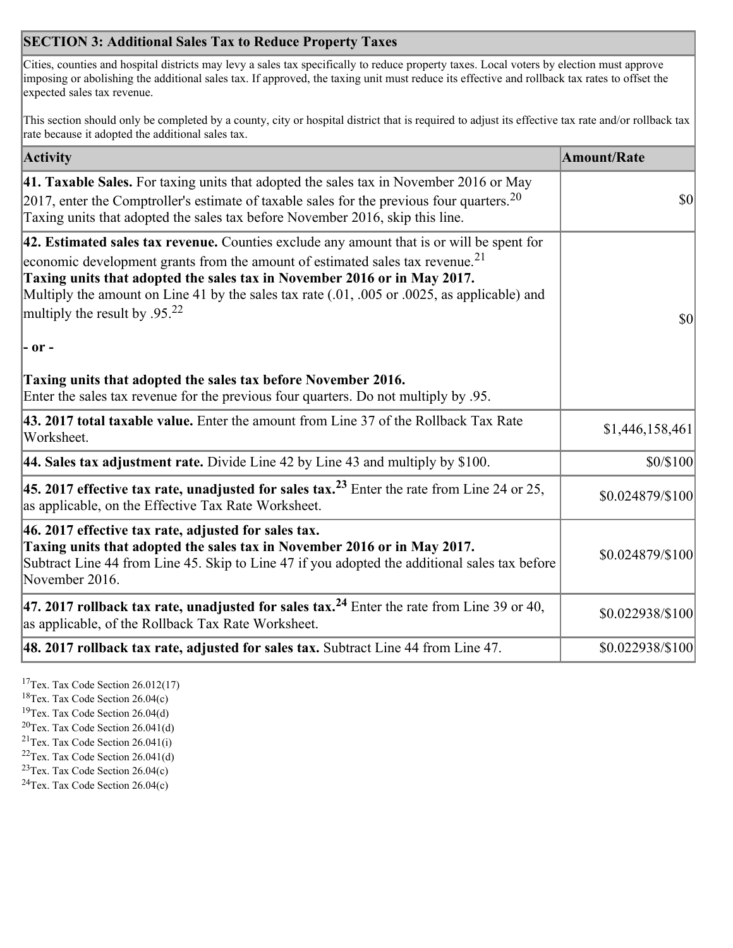## **SECTION 3: Additional Sales Tax to Reduce Property Taxes**

Cities, counties and hospital districts may levy a sales tax specifically to reduce property taxes. Local voters by election must approve imposing or abolishing the additional sales tax. If approved, the taxing unit must reduce its effective and rollback tax rates to offset the expected sales tax revenue.

This section should only be completed by a county, city or hospital district that is required to adjust its effective tax rate and/or rollback tax rate because it adopted the additional sales tax.

| <b>Activity</b>                                                                                                                                                                                                                                                                                                                                                                                                 | <b>Amount/Rate</b> |
|-----------------------------------------------------------------------------------------------------------------------------------------------------------------------------------------------------------------------------------------------------------------------------------------------------------------------------------------------------------------------------------------------------------------|--------------------|
| 41. Taxable Sales. For taxing units that adopted the sales tax in November 2016 or May<br>$[2017]$ , enter the Comptroller's estimate of taxable sales for the previous four quarters. <sup>20</sup><br>Taxing units that adopted the sales tax before November 2016, skip this line.                                                                                                                           | $\vert$ so $\vert$ |
| 42. Estimated sales tax revenue. Counties exclude any amount that is or will be spent for<br>economic development grants from the amount of estimated sales tax revenue. <sup>21</sup><br>Taxing units that adopted the sales tax in November 2016 or in May 2017.<br>Multiply the amount on Line 41 by the sales tax rate (.01, .005 or .0025, as applicable) and<br>multiply the result by .95. <sup>22</sup> | \$0                |
| - or -                                                                                                                                                                                                                                                                                                                                                                                                          |                    |
| Taxing units that adopted the sales tax before November 2016.<br>Enter the sales tax revenue for the previous four quarters. Do not multiply by .95.                                                                                                                                                                                                                                                            |                    |
| 43. 2017 total taxable value. Enter the amount from Line 37 of the Rollback Tax Rate<br>Worksheet.                                                                                                                                                                                                                                                                                                              | \$1,446,158,461    |
| 44. Sales tax adjustment rate. Divide Line 42 by Line 43 and multiply by $$100$ .                                                                                                                                                                                                                                                                                                                               | \$0/\$100          |
| 45. 2017 effective tax rate, unadjusted for sales tax. <sup>23</sup> Enter the rate from Line 24 or 25,<br>as applicable, on the Effective Tax Rate Worksheet.                                                                                                                                                                                                                                                  | \$0.024879/\$100   |
| 46. 2017 effective tax rate, adjusted for sales tax.<br>Taxing units that adopted the sales tax in November 2016 or in May 2017.<br>Subtract Line 44 from Line 45. Skip to Line 47 if you adopted the additional sales tax before<br>November 2016.                                                                                                                                                             | \$0.024879/\$100   |
| 47. 2017 rollback tax rate, unadjusted for sales tax. <sup>24</sup> Enter the rate from Line 39 or 40,<br>as applicable, of the Rollback Tax Rate Worksheet.                                                                                                                                                                                                                                                    | \$0.022938/\$100   |
| $ 48.2017$ rollback tax rate, adjusted for sales tax. Subtract Line 44 from Line 47.                                                                                                                                                                                                                                                                                                                            | \$0.022938/\$100   |

<sup>17</sup>Tex. Tax Code Section 26.012(17)

<sup>18</sup>Tex. Tax Code Section 26.04(c)

<sup>19</sup>Tex. Tax Code Section 26.04(d)

<sup>20</sup>Tex. Tax Code Section 26.041(d)

- $21$ Tex. Tax Code Section 26.041(i)
- <sup>22</sup>Tex. Tax Code Section 26.041(d)
- <sup>23</sup>Tex. Tax Code Section  $26.04(c)$

<sup>24</sup>Tex. Tax Code Section  $26.04(c)$